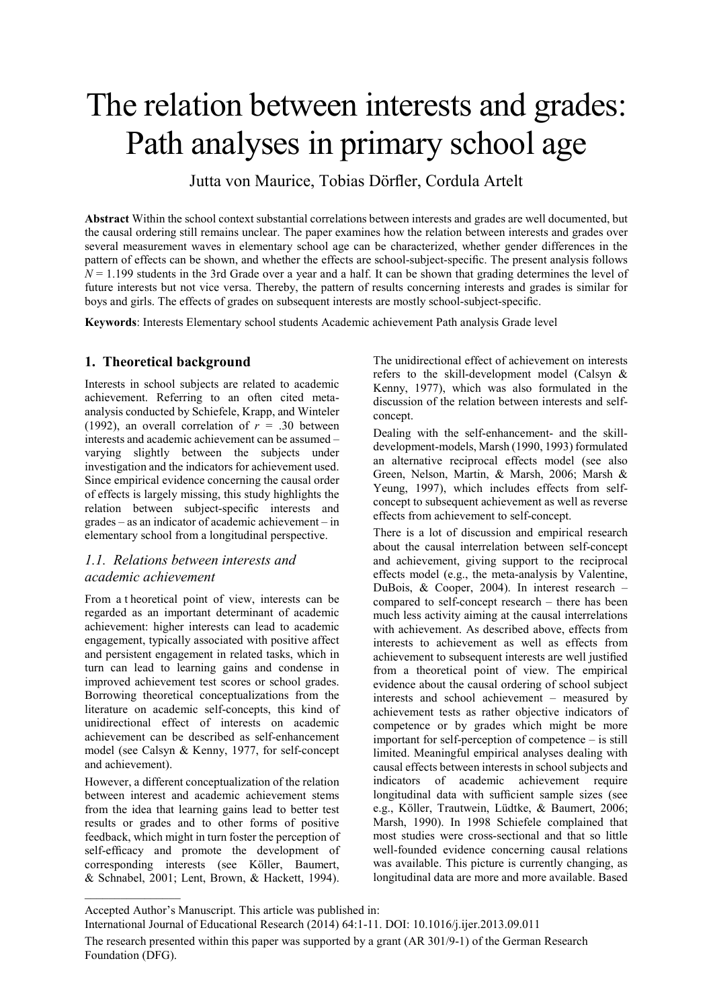# The relation between interests and grades: Path analyses in primary school age

Jutta von Maurice, Tobias Dörfler, Cordula Artelt

**Abstract** Within the school context substantial correlations between interests and grades are well documented, but the causal ordering still remains unclear. The paper examines how the relation between interests and grades over several measurement waves in elementary school age can be characterized, whether gender differences in the pattern of effects can be shown, and whether the effects are school-subject-specific. The present analysis follows  $N = 1.199$  students in the 3rd Grade over a year and a half. It can be shown that grading determines the level of future interests but not vice versa. Thereby, the pattern of results concerning interests and grades is similar for boys and girls. The effects of grades on subsequent interests are mostly school-subject-specific.

**Keywords**: Interests Elementary school students Academic achievement Path analysis Grade level

## **1. Theoretical background**

Interests in school subjects are related to academic achievement. Referring to an often cited metaanalysis conducted by Schiefele, Krapp, and Winteler (1992), an overall correlation of  $r = .30$  between interests and academic achievement can be assumed – varying slightly between the subjects under investigation and the indicators for achievement used. Since empirical evidence concerning the causal order of effects is largely missing, this study highlights the relation between subject-specific interests and grades – as an indicator of academic achievement – in elementary school from a longitudinal perspective.

## *1.1. Relations between interests and academic achievement*

From a t heoretical point of view, interests can be regarded as an important determinant of academic achievement: higher interests can lead to academic engagement, typically associated with positive affect and persistent engagement in related tasks, which in turn can lead to learning gains and condense in improved achievement test scores or school grades. Borrowing theoretical conceptualizations from the literature on academic self-concepts, this kind of unidirectional effect of interests on academic achievement can be described as self-enhancement model (see Calsyn & Kenny, 1977, for self-concept and achievement).

However, a different conceptualization of the relation between interest and academic achievement stems from the idea that learning gains lead to better test results or grades and to other forms of positive feedback, which might in turn foster the perception of self-efficacy and promote the development of corresponding interests (see Köller, Baumert, & Schnabel, 2001; Lent, Brown, & Hackett, 1994).

 $\mathcal{L}=\mathcal{L}^{\text{max}}$ 

The unidirectional effect of achievement on interests refers to the skill-development model (Calsyn & Kenny, 1977), which was also formulated in the discussion of the relation between interests and selfconcept.

Dealing with the self-enhancement- and the skilldevelopment-models, Marsh (1990, 1993) formulated an alternative reciprocal effects model (see also Green, Nelson, Martin, & Marsh, 2006; Marsh & Yeung, 1997), which includes effects from selfconcept to subsequent achievement as well as reverse effects from achievement to self-concept.

There is a lot of discussion and empirical research about the causal interrelation between self-concept and achievement, giving support to the reciprocal effects model (e.g., the meta-analysis by Valentine, DuBois, & Cooper, 2004). In interest research – compared to self-concept research – there has been much less activity aiming at the causal interrelations with achievement. As described above, effects from interests to achievement as well as effects from achievement to subsequent interests are well justified from a theoretical point of view. The empirical evidence about the causal ordering of school subject interests and school achievement – measured by achievement tests as rather objective indicators of competence or by grades which might be more important for self-perception of competence – is still limited. Meaningful empirical analyses dealing with causal effects between interests in school subjects and indicators of academic achievement require longitudinal data with sufficient sample sizes (see e.g., Köller, Trautwein, Lüdtke, & Baumert, 2006; Marsh, 1990). In 1998 Schiefele complained that most studies were cross-sectional and that so little well-founded evidence concerning causal relations was available. This picture is currently changing, as longitudinal data are more and more available. Based

Accepted Author's Manuscript. This article was published in:

International Journal of Educational Research (2014) 64:1-11. DOI: 10.1016/j.ijer.2013.09.011

The research presented within this paper was supported by a grant (AR 301/9-1) of the German Research Foundation (DFG).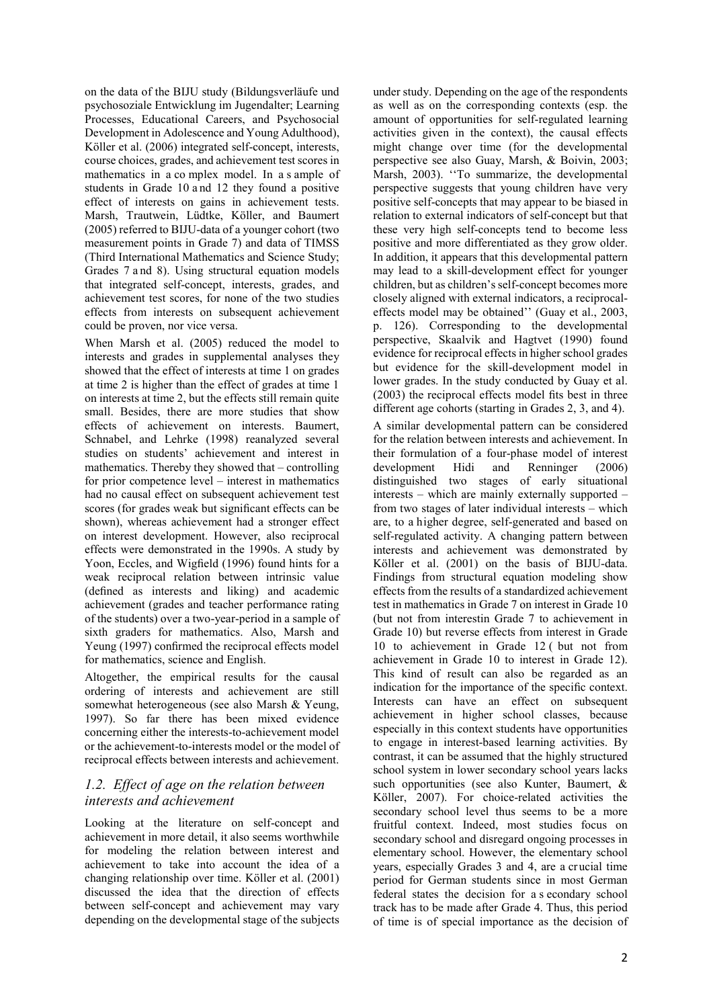on the data of the BIJU study (Bildungsverläufe und psychosoziale Entwicklung im Jugendalter; Learning Processes, Educational Careers, and Psychosocial Development in Adolescence and Young Adulthood), Köller et al. (2006) integrated self-concept, interests, course choices, grades, and achievement test scores in mathematics in a co mplex model. In a s ample of students in Grade 10 and 12 they found a positive effect of interests on gains in achievement tests. Marsh, Trautwein, Lüdtke, Köller, and Baumert (2005) referred to BIJU-data of a younger cohort (two measurement points in Grade 7) and data of TIMSS (Third International Mathematics and Science Study; Grades 7 a nd 8). Using structural equation models that integrated self-concept, interests, grades, and achievement test scores, for none of the two studies effects from interests on subsequent achievement could be proven, nor vice versa.

When Marsh et al. (2005) reduced the model to interests and grades in supplemental analyses they showed that the effect of interests at time 1 on grades at time 2 is higher than the effect of grades at time 1 on interests at time 2, but the effects still remain quite small. Besides, there are more studies that show effects of achievement on interests. Baumert, Schnabel, and Lehrke (1998) reanalyzed several studies on students' achievement and interest in mathematics. Thereby they showed that – controlling for prior competence level – interest in mathematics had no causal effect on subsequent achievement test scores (for grades weak but significant effects can be shown), whereas achievement had a stronger effect on interest development. However, also reciprocal effects were demonstrated in the 1990s. A study by Yoon, Eccles, and Wigfield (1996) found hints for a weak reciprocal relation between intrinsic value (defined as interests and liking) and academic achievement (grades and teacher performance rating of the students) over a two-year-period in a sample of sixth graders for mathematics. Also, Marsh and Yeung (1997) confirmed the reciprocal effects model for mathematics, science and English.

Altogether, the empirical results for the causal ordering of interests and achievement are still somewhat heterogeneous (see also Marsh & Yeung, 1997). So far there has been mixed evidence concerning either the interests-to-achievement model or the achievement-to-interests model or the model of reciprocal effects between interests and achievement.

## *1.2. Effect of age on the relation between interests and achievement*

Looking at the literature on self-concept and achievement in more detail, it also seems worthwhile for modeling the relation between interest and achievement to take into account the idea of a changing relationship over time. Köller et al. (2001) discussed the idea that the direction of effects between self-concept and achievement may vary depending on the developmental stage of the subjects under study. Depending on the age of the respondents as well as on the corresponding contexts (esp. the amount of opportunities for self-regulated learning activities given in the context), the causal effects might change over time (for the developmental perspective see also Guay, Marsh, & Boivin, 2003; Marsh, 2003). ''To summarize, the developmental perspective suggests that young children have very positive self-concepts that may appear to be biased in relation to external indicators of self-concept but that these very high self-concepts tend to become less positive and more differentiated as they grow older. In addition, it appears that this developmental pattern may lead to a skill-development effect for younger children, but as children's self-concept becomes more closely aligned with external indicators, a reciprocaleffects model may be obtained'' (Guay et al., 2003, p. 126). Corresponding to the developmental perspective, Skaalvik and Hagtvet (1990) found evidence for reciprocal effects in higher school grades but evidence for the skill-development model in lower grades. In the study conducted by Guay et al. (2003) the reciprocal effects model fits best in three different age cohorts (starting in Grades 2, 3, and 4).

A similar developmental pattern can be considered for the relation between interests and achievement. In their formulation of a four-phase model of interest development Hidi and Renninger (2006) distinguished two stages of early situational interests – which are mainly externally supported – from two stages of later individual interests – which are, to a higher degree, self-generated and based on self-regulated activity. A changing pattern between interests and achievement was demonstrated by Köller et al. (2001) on the basis of BIJU-data. Findings from structural equation modeling show effects from the results of a standardized achievement test in mathematics in Grade 7 on interest in Grade 10 (but not from interestin Grade 7 to achievement in Grade 10) but reverse effects from interest in Grade 10 to achievement in Grade 12 ( but not from achievement in Grade 10 to interest in Grade 12). This kind of result can also be regarded as an indication for the importance of the specific context. Interests can have an effect on subsequent achievement in higher school classes, because especially in this context students have opportunities to engage in interest-based learning activities. By contrast, it can be assumed that the highly structured school system in lower secondary school years lacks such opportunities (see also Kunter, Baumert, & Köller, 2007). For choice-related activities the secondary school level thus seems to be a more fruitful context. Indeed, most studies focus on secondary school and disregard ongoing processes in elementary school. However, the elementary school years, especially Grades 3 and 4, are a crucial time period for German students since in most German federal states the decision for a s econdary school track has to be made after Grade 4. Thus, this period of time is of special importance as the decision of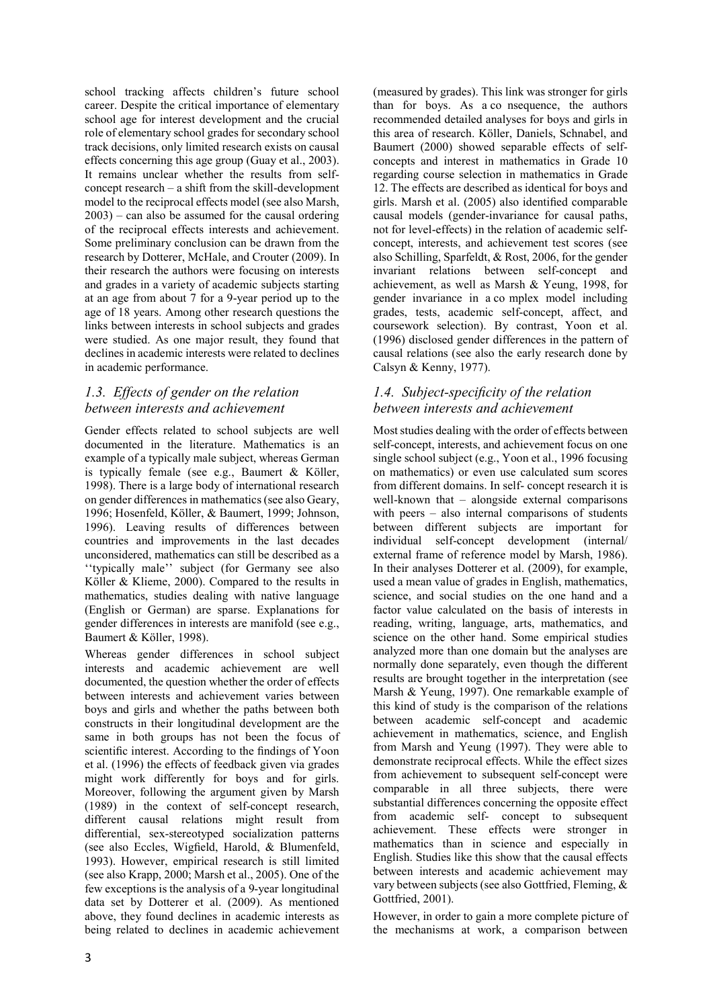school tracking affects children's future school career. Despite the critical importance of elementary school age for interest development and the crucial role of elementary school grades for secondary school track decisions, only limited research exists on causal effects concerning this age group (Guay et al., 2003). It remains unclear whether the results from selfconcept research – a shift from the skill-development model to the reciprocal effects model (see also Marsh, 2003) – can also be assumed for the causal ordering of the reciprocal effects interests and achievement. Some preliminary conclusion can be drawn from the research by Dotterer, McHale, and Crouter (2009). In their research the authors were focusing on interests and grades in a variety of academic subjects starting at an age from about 7 for a 9-year period up to the age of 18 years. Among other research questions the links between interests in school subjects and grades were studied. As one major result, they found that declines in academic interests were related to declines in academic performance.

## *1.3. Effects of gender on the relation between interests and achievement*

Gender effects related to school subjects are well documented in the literature. Mathematics is an example of a typically male subject, whereas German is typically female (see e.g., Baumert & Köller, 1998). There is a large body of international research on gender differences in mathematics (see also Geary, 1996; Hosenfeld, Köller, & Baumert, 1999; Johnson, 1996). Leaving results of differences between countries and improvements in the last decades unconsidered, mathematics can still be described as a ''typically male'' subject (for Germany see also Köller & Klieme, 2000). Compared to the results in mathematics, studies dealing with native language (English or German) are sparse. Explanations for gender differences in interests are manifold (see e.g., Baumert & Köller, 1998).

Whereas gender differences in school subject interests and academic achievement are well documented, the question whether the order of effects between interests and achievement varies between boys and girls and whether the paths between both constructs in their longitudinal development are the same in both groups has not been the focus of scientific interest. According to the findings of Yoon et al. (1996) the effects of feedback given via grades might work differently for boys and for girls. Moreover, following the argument given by Marsh (1989) in the context of self-concept research, different causal relations might result from differential, sex-stereotyped socialization patterns (see also Eccles, Wigfield, Harold, & Blumenfeld, 1993). However, empirical research is still limited (see also Krapp, 2000; Marsh et al., 2005). One of the few exceptions is the analysis of a 9-year longitudinal data set by Dotterer et al. (2009). As mentioned above, they found declines in academic interests as being related to declines in academic achievement (measured by grades). This link was stronger for girls than for boys. As a co nsequence, the authors recommended detailed analyses for boys and girls in this area of research. Köller, Daniels, Schnabel, and Baumert (2000) showed separable effects of selfconcepts and interest in mathematics in Grade 10 regarding course selection in mathematics in Grade 12. The effects are described as identical for boys and girls. Marsh et al. (2005) also identified comparable causal models (gender-invariance for causal paths, not for level-effects) in the relation of academic selfconcept, interests, and achievement test scores (see also Schilling, Sparfeldt, & Rost, 2006, for the gender invariant relations between self-concept and achievement, as well as Marsh & Yeung, 1998, for gender invariance in a co mplex model including grades, tests, academic self-concept, affect, and coursework selection). By contrast, Yoon et al. (1996) disclosed gender differences in the pattern of causal relations (see also the early research done by Calsyn & Kenny, 1977).

## *1.4. Subject-specificity of the relation between interests and achievement*

Most studies dealing with the order of effects between self-concept, interests, and achievement focus on one single school subject (e.g., Yoon et al., 1996 focusing on mathematics) or even use calculated sum scores from different domains. In self- concept research it is well-known that – alongside external comparisons with peers – also internal comparisons of students between different subjects are important for individual self-concept development (internal/ external frame of reference model by Marsh, 1986). In their analyses Dotterer et al. (2009), for example, used a mean value of grades in English, mathematics, science, and social studies on the one hand and a factor value calculated on the basis of interests in reading, writing, language, arts, mathematics, and science on the other hand. Some empirical studies analyzed more than one domain but the analyses are normally done separately, even though the different results are brought together in the interpretation (see Marsh & Yeung, 1997). One remarkable example of this kind of study is the comparison of the relations between academic self-concept and academic achievement in mathematics, science, and English from Marsh and Yeung (1997). They were able to demonstrate reciprocal effects. While the effect sizes from achievement to subsequent self-concept were comparable in all three subjects, there were substantial differences concerning the opposite effect from academic self- concept to subsequent achievement. These effects were stronger in mathematics than in science and especially in English. Studies like this show that the causal effects between interests and academic achievement may vary between subjects (see also Gottfried, Fleming, & Gottfried, 2001).

However, in order to gain a more complete picture of the mechanisms at work, a comparison between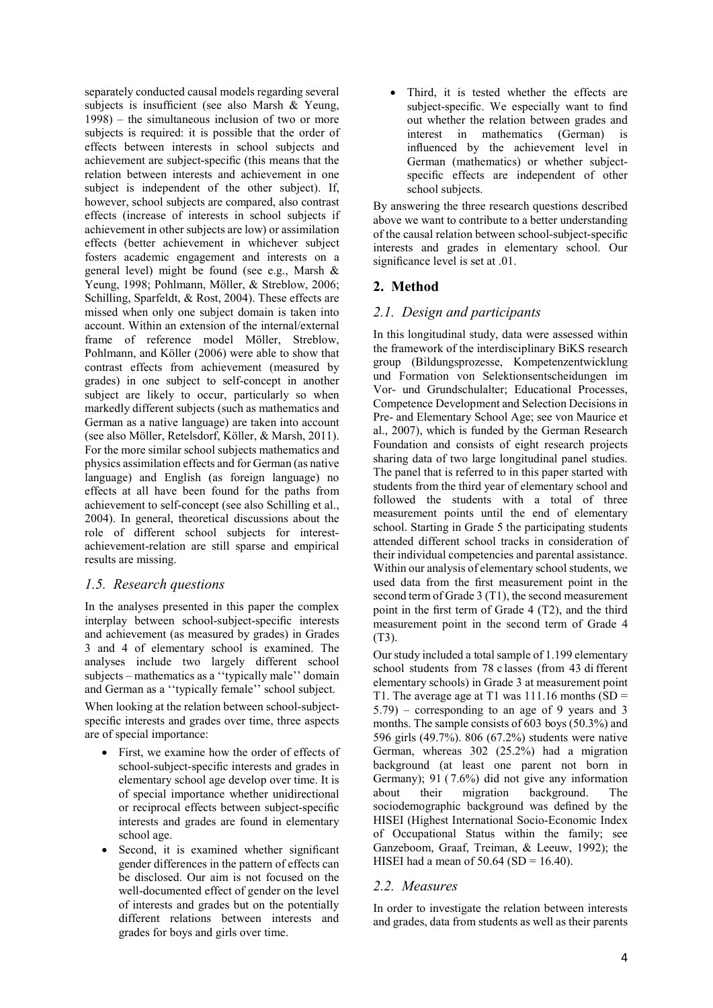separately conducted causal models regarding several subjects is insufficient (see also Marsh & Yeung, 1998) – the simultaneous inclusion of two or more subjects is required: it is possible that the order of effects between interests in school subjects and achievement are subject-specific (this means that the relation between interests and achievement in one subject is independent of the other subject). If, however, school subjects are compared, also contrast effects (increase of interests in school subjects if achievement in other subjects are low) or assimilation effects (better achievement in whichever subject fosters academic engagement and interests on a general level) might be found (see e.g., Marsh & Yeung, 1998; Pohlmann, Möller, & Streblow, 2006; Schilling, Sparfeldt, & Rost, 2004). These effects are missed when only one subject domain is taken into account. Within an extension of the internal/external frame of reference model Möller, Streblow, Pohlmann, and Köller (2006) were able to show that contrast effects from achievement (measured by grades) in one subject to self-concept in another subject are likely to occur, particularly so when markedly different subjects (such as mathematics and German as a native language) are taken into account (see also Möller, Retelsdorf, Köller, & Marsh, 2011). For the more similar school subjects mathematics and physics assimilation effects and for German (as native language) and English (as foreign language) no effects at all have been found for the paths from achievement to self-concept (see also Schilling et al., 2004). In general, theoretical discussions about the role of different school subjects for interestachievement-relation are still sparse and empirical results are missing.

## *1.5. Research questions*

In the analyses presented in this paper the complex interplay between school-subject-specific interests and achievement (as measured by grades) in Grades 3 and 4 of elementary school is examined. The analyses include two largely different school subjects – mathematics as a ''typically male'' domain and German as a ''typically female'' school subject.

When looking at the relation between school-subjectspecific interests and grades over time, three aspects are of special importance:

- First, we examine how the order of effects of school-subject-specific interests and grades in elementary school age develop over time. It is of special importance whether unidirectional or reciprocal effects between subject-specific interests and grades are found in elementary school age.
- Second, it is examined whether significant gender differences in the pattern of effects can be disclosed. Our aim is not focused on the well-documented effect of gender on the level of interests and grades but on the potentially different relations between interests and grades for boys and girls over time.

• Third, it is tested whether the effects are subject-specific. We especially want to find out whether the relation between grades and interest in mathematics (German) is influenced by the achievement level in German (mathematics) or whether subjectspecific effects are independent of other school subjects.

By answering the three research questions described above we want to contribute to a better understanding of the causal relation between school-subject-specific interests and grades in elementary school. Our significance level is set at .01.

## **2. Method**

### *2.1. Design and participants*

In this longitudinal study, data were assessed within the framework of the interdisciplinary BiKS research group (Bildungsprozesse, Kompetenzentwicklung und Formation von Selektionsentscheidungen im Vor- und Grundschulalter; Educational Processes, Competence Development and Selection Decisions in Pre- and Elementary School Age; see von Maurice et al., 2007), which is funded by the German Research Foundation and consists of eight research projects sharing data of two large longitudinal panel studies. The panel that is referred to in this paper started with students from the third year of elementary school and followed the students with a total of three measurement points until the end of elementary school. Starting in Grade 5 the participating students attended different school tracks in consideration of their individual competencies and parental assistance. Within our analysis of elementary school students, we used data from the first measurement point in the second term of Grade 3 (T1), the second measurement point in the first term of Grade 4 (T2), and the third measurement point in the second term of Grade 4 (T3).

Our study included a total sample of 1.199 elementary school students from 78 c lasses (from 43 di fferent elementary schools) in Grade 3 at measurement point T1. The average age at T1 was  $111.16$  months (SD = 5.79) – corresponding to an age of 9 years and 3 months. The sample consists of 603 boys (50.3%) and 596 girls (49.7%). 806 (67.2%) students were native German, whereas 302 (25.2%) had a migration background (at least one parent not born in Germany); 91 (7.6%) did not give any information about their migration background. The sociodemographic background was defined by the HISEI (Highest International Socio-Economic Index of Occupational Status within the family; see Ganzeboom, Graaf, Treiman, & Leeuw, 1992); the HISEI had a mean of  $50.64$  (SD = 16.40).

#### *2.2. Measures*

In order to investigate the relation between interests and grades, data from students as well as their parents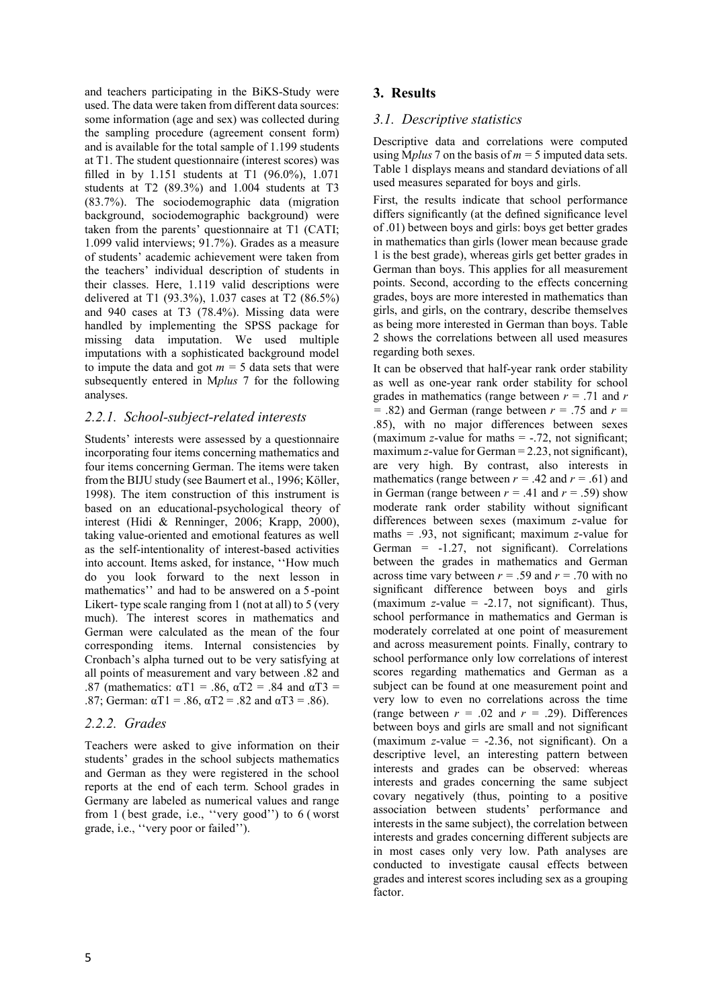and teachers participating in the BiKS-Study were used. The data were taken from different data sources: some information (age and sex) was collected during the sampling procedure (agreement consent form) and is available for the total sample of 1.199 students at T1. The student questionnaire (interest scores) was filled in by 1.151 students at T1 (96.0%), 1.071 students at T2 (89.3%) and 1.004 students at T3 (83.7%). The sociodemographic data (migration background, sociodemographic background) were taken from the parents' questionnaire at T1 (CATI; 1.099 valid interviews; 91.7%). Grades as a measure of students' academic achievement were taken from the teachers' individual description of students in their classes. Here, 1.119 valid descriptions were delivered at T1 (93.3%), 1.037 cases at T2 (86.5%) and 940 cases at T3 (78.4%). Missing data were handled by implementing the SPSS package for missing data imputation. We used multiple imputations with a sophisticated background model to impute the data and got  $m = 5$  data sets that were subsequently entered in M*plus* 7 for the following analyses.

### *2.2.1. School-subject-related interests*

Students' interests were assessed by a questionnaire incorporating four items concerning mathematics and four items concerning German. The items were taken from the BIJU study (see Baumert et al., 1996; Köller, 1998). The item construction of this instrument is based on an educational-psychological theory of interest (Hidi & Renninger, 2006; Krapp, 2000), taking value-oriented and emotional features as well as the self-intentionality of interest-based activities into account. Items asked, for instance, ''How much do you look forward to the next lesson in mathematics'' and had to be answered on a 5-point Likert- type scale ranging from 1 (not at all) to 5 (very much). The interest scores in mathematics and German were calculated as the mean of the four corresponding items. Internal consistencies by Cronbach's alpha turned out to be very satisfying at all points of measurement and vary between .82 and .87 (mathematics:  $\alpha T1 = .86$ ,  $\alpha T2 = .84$  and  $\alpha T3 =$ .87; German:  $\alpha T1 = .86$ ,  $\alpha T2 = .82$  and  $\alpha T3 = .86$ ).

## *2.2.2. Grades*

Teachers were asked to give information on their students' grades in the school subjects mathematics and German as they were registered in the school reports at the end of each term. School grades in Germany are labeled as numerical values and range from 1 ( best grade, i.e., ''very good'') to 6 ( worst grade, i.e., ''very poor or failed'').

## **3. Results**

#### *3.1. Descriptive statistics*

Descriptive data and correlations were computed using M*plus* 7 on the basis of *m =* 5 imputed data sets. Table 1 displays means and standard deviations of all used measures separated for boys and girls.

First, the results indicate that school performance differs significantly (at the defined significance level of .01) between boys and girls: boys get better grades in mathematics than girls (lower mean because grade 1 is the best grade), whereas girls get better grades in German than boys. This applies for all measurement points. Second, according to the effects concerning grades, boys are more interested in mathematics than girls, and girls, on the contrary, describe themselves as being more interested in German than boys. Table 2 shows the correlations between all used measures regarding both sexes.

It can be observed that half-year rank order stability as well as one-year rank order stability for school grades in mathematics (range between *r =* .71 and *r*   $=$  .82) and German (range between  $r = .75$  and  $r = 1$ .85), with no major differences between sexes (maximum *z*-value for maths = -.72, not significant; maximum  $z$ -value for German = 2.23, not significant), are very high. By contrast, also interests in mathematics (range between  $r = .42$  and  $r = .61$ ) and in German (range between  $r = .41$  and  $r = .59$ ) show moderate rank order stability without significant differences between sexes (maximum *z*-value for maths = .93, not significant; maximum *z*-value for German  $= -1.27$ , not significant). Correlations between the grades in mathematics and German across time vary between  $r = .59$  and  $r = .70$  with no significant difference between boys and girls (maximum  $z$ -value =  $-2.17$ , not significant). Thus, school performance in mathematics and German is moderately correlated at one point of measurement and across measurement points. Finally, contrary to school performance only low correlations of interest scores regarding mathematics and German as a subject can be found at one measurement point and very low to even no correlations across the time (range between  $r = .02$  and  $r = .29$ ). Differences between boys and girls are small and not significant (maximum  $z$ -value =  $-2.36$ , not significant). On a descriptive level, an interesting pattern between interests and grades can be observed: whereas interests and grades concerning the same subject covary negatively (thus, pointing to a positive association between students' performance and interests in the same subject), the correlation between interests and grades concerning different subjects are in most cases only very low. Path analyses are conducted to investigate causal effects between grades and interest scores including sex as a grouping factor.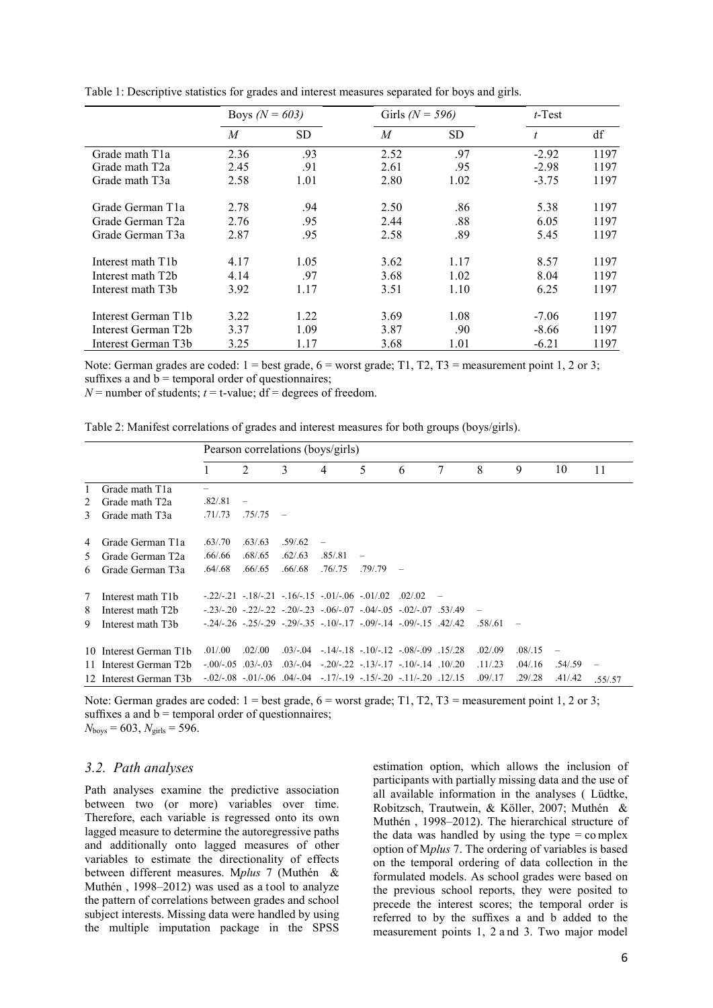|                             | Boys $(N = 603)$ |           | Girls ( $N = 596$ ) |           | $t$ -Test    |      |
|-----------------------------|------------------|-----------|---------------------|-----------|--------------|------|
|                             | M                | <b>SD</b> | M                   | <b>SD</b> | $\mathbf{f}$ | df   |
| Grade math T <sub>1</sub> a | 2.36             | .93       | 2.52                | .97       | $-2.92$      | 1197 |
| Grade math T2a              | 2.45             | .91       | 2.61                | .95       | $-2.98$      | 1197 |
| Grade math T3a              | 2.58             | 1.01      | 2.80                | 1.02      | $-3.75$      | 1197 |
| Grade German T1a            | 2.78             | .94       | 2.50                | .86       | 5.38         | 1197 |
| Grade German T2a            | 2.76             | .95       | 2.44                | .88       | 6.05         | 1197 |
| Grade German T3a            | 2.87             | .95       | 2.58                | .89       | 5.45         | 1197 |
| Interest math T1b           | 4.17             | 1.05      | 3.62                | 1.17      | 8.57         | 1197 |
| Interest math T2b           | 4.14             | .97       | 3.68                | 1.02      | 8.04         | 1197 |
| Interest math T3b           | 3.92             | 1.17      | 3.51                | 1.10      | 6.25         | 1197 |
| Interest German T1b         | 3.22             | 1.22      | 3.69                | 1.08      | $-7.06$      | 1197 |
| Interest German T2b         | 3.37             | 1.09      | 3.87                | .90       | $-8.66$      | 1197 |
| Interest German T3b         | 3.25             | 1.17      | 3.68                | 1.01      | $-6.21$      | 1197 |

Table 1: Descriptive statistics for grades and interest measures separated for boys and girls.

Note: German grades are coded:  $1 = \text{best grade}$ ,  $6 = \text{worst grade}$ ;  $71$ ,  $72$ ,  $73 = \text{measurement point } 1$ ,  $2 \text{ or } 3$ ; suffixes a and  $b =$  temporal order of questionnaires;

 $N$  = number of students;  $t$  = t-value; df = degrees of freedom.

Table 2: Manifest correlations of grades and interest measures for both groups (boys/girls).

|               |                             | Pearson correlations (boys/girls) |                          |          |                                              |                   |                                                                               |   |                          |          |         |         |
|---------------|-----------------------------|-----------------------------------|--------------------------|----------|----------------------------------------------|-------------------|-------------------------------------------------------------------------------|---|--------------------------|----------|---------|---------|
|               |                             |                                   | $\overline{2}$           | 3        | 4                                            | 5                 | 6                                                                             | 7 | 8                        | 9        | 10      | 11      |
| $\mathbf{1}$  | Grade math T <sub>1</sub> a |                                   |                          |          |                                              |                   |                                                                               |   |                          |          |         |         |
| 2             | Grade math T2a              | .82/.81                           | $\overline{\phantom{a}}$ |          |                                              |                   |                                                                               |   |                          |          |         |         |
| $\mathcal{E}$ | Grade math T3a              | .71/0.73                          | .75/.75                  |          |                                              |                   |                                                                               |   |                          |          |         |         |
| 4             | Grade German T1a            | .63/.70                           | .63/0.63                 | .59/0.62 |                                              |                   |                                                                               |   |                          |          |         |         |
| 5.            | Grade German T2a            | .66/.66                           | .68/.65                  | .62/.63  | .85/.81                                      | $\qquad \qquad -$ |                                                                               |   |                          |          |         |         |
| 6             | Grade German T3a            | .64/.68                           | .66/0.65                 | .66/0.68 | .76/.75                                      | .79/.79           |                                                                               |   |                          |          |         |         |
| 7             | Interest math T1b           |                                   |                          |          | $-22/-21 - 18/-21 - 16/-15 - 01/-06 - 01/02$ |                   | 02/02                                                                         |   |                          |          |         |         |
| 8             | Interest math T2b           |                                   |                          |          |                                              |                   | $-23/-20$ $-22/-22$ $-20/-23$ $-06/-07$ $-04/-05$ $-02/-07$ $-53/-49$         |   | $\overline{\phantom{a}}$ |          |         |         |
| 9             | Interest math T3b           |                                   |                          |          |                                              |                   | $-24/- 26 - 25/- 29 - 29/- 35 - 10/- 17 - 09/- 14 - 09/- 15 - 42/- 42$        |   | .58/.61                  |          |         |         |
|               | 10 Interest German T1b      | .01 / .00                         | .02 / .00                |          |                                              |                   | $.03/- 04 - 14/- 18 - 10/- 12 - 08/- 09 - 15/.28$                             |   | .02/.09                  | .08/0.15 |         |         |
|               | 11 Interest German T2b      | $-0.00$ / $-0.5$ $0.03$ / $-0.03$ |                          |          |                                              |                   | $0.03/- 0.4 - 20/- 22 - 13/- 17 - 10/- 14 - 10/- 20$                          |   | .11/.23                  | .04/0.16 | .54/.59 |         |
|               | 12 Interest German T3b      |                                   |                          |          |                                              |                   | $-0.02/-08$ $-0.01/-06$ $0.04/-04$ $-1.7/-19$ $-1.5/-20$ $-1.1/-20$ $1.2/-15$ |   | .09/0.17                 | .29/.28  | .41/.42 | .55/.57 |

Note: German grades are coded:  $1 = \text{best grade}$ ,  $6 = \text{worst grade}$ ;  $71$ ,  $72$ ,  $73 = \text{measurement point } 1$ ,  $2 \text{ or } 3$ ; suffixes a and  $b =$  temporal order of questionnaires;  $N_{\text{boys}} = 603$ ,  $N_{\text{girls}} = 596$ .

#### *3.2. Path analyses*

Path analyses examine the predictive association between two (or more) variables over time. Therefore, each variable is regressed onto its own lagged measure to determine the autoregressive paths and additionally onto lagged measures of other variables to estimate the directionality of effects between different measures. M*plus* 7 (Muthén & Muthén , 1998–2012) was used as a tool to analyze the pattern of correlations between grades and school subject interests. Missing data were handled by using the multiple imputation package in the SPSS

estimation option, which allows the inclusion of participants with partially missing data and the use of all available information in the analyses ( Lüdtke, Robitzsch, Trautwein, & Köller, 2007; Muthén & Muthén , 1998–2012). The hierarchical structure of the data was handled by using the type = co mplex option of M*plus* 7. The ordering of variables is based on the temporal ordering of data collection in the formulated models. As school grades were based on the previous school reports, they were posited to precede the interest scores; the temporal order is referred to by the suffixes a and b added to the measurement points 1, 2 a nd 3. Two major model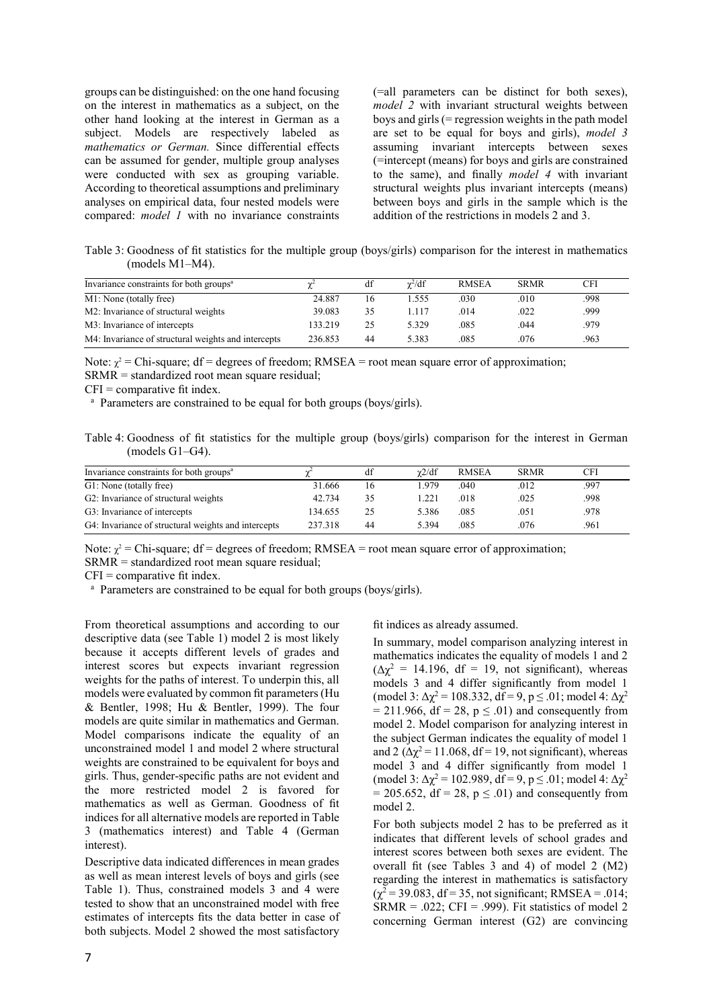groups can be distinguished: on the one hand focusing on the interest in mathematics as a subject, on the other hand looking at the interest in German as a subject. Models are respectively labeled as *mathematics or German.* Since differential effects can be assumed for gender, multiple group analyses were conducted with sex as grouping variable. According to theoretical assumptions and preliminary analyses on empirical data, four nested models were compared: *model 1* with no invariance constraints

(=all parameters can be distinct for both sexes), *model 2* with invariant structural weights between boys and girls (= regression weights in the path model are set to be equal for boys and girls), *model 3* assuming invariant intercepts between sexes (=intercept (means) for boys and girls are constrained to the same), and finally *model 4* with invariant structural weights plus invariant intercepts (means) between boys and girls in the sample which is the addition of the restrictions in models 2 and 3.

Table 3: Goodness of fit statistics for the multiple group (boys/girls) comparison for the interest in mathematics (models M1–M4).

| Invariance constraints for both groups <sup>a</sup> | $\sim$  | df | $\gamma^2/df$ | <b>RMSEA</b> | <b>SRMR</b> | CFI  |
|-----------------------------------------------------|---------|----|---------------|--------------|-------------|------|
| M1: None (totally free)                             | 24.887  | 16 | 555           | .030         | .010        | .998 |
| M2: Invariance of structural weights                | 39.083  | 35 | 1.117         | 014          | .022        | 999  |
| M3: Invariance of intercepts                        | 133.219 | 25 | 5.329         | .085         | .044        | 979  |
| M4: Invariance of structural weights and intercepts | 236.853 | 44 | 5.383         | .085         | .076        | 963  |

Note:  $\chi^2$  = Chi-square; df = degrees of freedom; RMSEA = root mean square error of approximation; SRMR = standardized root mean square residual;

 $CFI = \text{comparative fit index.}$ 

<sup>a</sup> Parameters are constrained to be equal for both groups (boys/girls).

Table 4: Goodness of fit statistics for the multiple group (boys/girls) comparison for the interest in German (models G1–G4).

| Invariance constraints for both groups <sup>a</sup> |         | đt | $\gamma$ 2/df | <b>RMSEA</b> | <b>SRMR</b> | CFI  |
|-----------------------------------------------------|---------|----|---------------|--------------|-------------|------|
| G1: None (totally free)                             | 31.666  | 16 | 979           | .040         | .012        | 997  |
| G2: Invariance of structural weights                | 42.734  | 35 | .221          | 018          | .025        | .998 |
| G3: Invariance of intercepts                        | 134.655 | 25 | 5.386         | .085         | .051        | 978  |
| G4: Invariance of structural weights and intercepts | 237.318 | 44 | 5.394         | 085          | .076        | .961 |

Note:  $\chi^2$  = Chi-square; df = degrees of freedom; RMSEA = root mean square error of approximation;

SRMR = standardized root mean square residual;

 $CFI = \text{comparative fit index.}$ 

<sup>a</sup> Parameters are constrained to be equal for both groups (boys/girls).

From theoretical assumptions and according to our descriptive data (see Table 1) model 2 is most likely because it accepts different levels of grades and interest scores but expects invariant regression weights for the paths of interest. To underpin this, all models were evaluated by common fit parameters (Hu & Bentler, 1998; Hu & Bentler, 1999). The four models are quite similar in mathematics and German. Model comparisons indicate the equality of an unconstrained model 1 and model 2 where structural weights are constrained to be equivalent for boys and girls. Thus, gender-specific paths are not evident and the more restricted model 2 is favored for mathematics as well as German. Goodness of fit indices for all alternative models are reported in Table 3 (mathematics interest) and Table 4 (German interest).

Descriptive data indicated differences in mean grades as well as mean interest levels of boys and girls (see Table 1). Thus, constrained models 3 and 4 were tested to show that an unconstrained model with free estimates of intercepts fits the data better in case of both subjects. Model 2 showed the most satisfactory fit indices as already assumed.

In summary, model comparison analyzing interest in mathematics indicates the equality of models 1 and 2  $(\Delta \chi^2 = 14.196, df = 19, not significant)$ , whereas models 3 and 4 differ significantly from model 1 (model 3:  $\Delta \chi^2$  = 108.332, df = 9, p  $\leq$  .01; model 4:  $\Delta \chi^2$  $= 211.966$ , df  $= 28$ ,  $p \le .01$ ) and consequently from model 2. Model comparison for analyzing interest in the subject German indicates the equality of model 1 and 2 ( $\Delta \chi^2$  = 11.068, df = 19, not significant), whereas model 3 and 4 differ significantly from model 1 (model 3:  $\Delta \chi^2$  = 102.989, df = 9, p  $\leq$  .01; model 4:  $\Delta \chi^2$  $= 205.652$ , df  $= 28$ ,  $p \le 0.01$ ) and consequently from model 2.

For both subjects model 2 has to be preferred as it indicates that different levels of school grades and interest scores between both sexes are evident. The overall fit (see Tables 3 and 4) of model 2 (M2) regarding the interest in mathematics is satisfactory  $(\chi^2 = 39.083, df = 35, not significant; RMSEA = .014;$  $SRMR = .022$ ; CFI = .999). Fit statistics of model 2 concerning German interest (G2) are convincing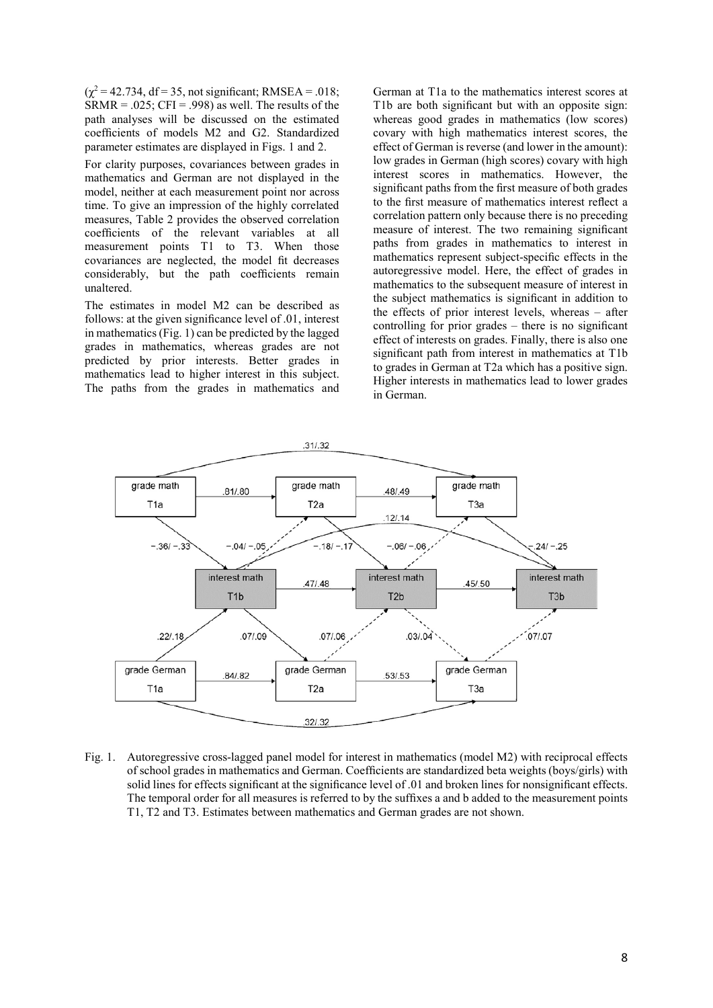$(\chi^2 = 42.734, df = 35, not significant; RMSEA = .018;$  $SRMR = .025$ ; CFI = .998) as well. The results of the path analyses will be discussed on the estimated coefficients of models M2 and G2. Standardized parameter estimates are displayed in Figs. 1 and 2.

For clarity purposes, covariances between grades in mathematics and German are not displayed in the model, neither at each measurement point nor across time. To give an impression of the highly correlated measures, Table 2 provides the observed correlation coefficients of the relevant variables at all measurement points T1 to T3. When those covariances are neglected, the model fit decreases considerably, but the path coefficients remain unaltered.

The estimates in model M2 can be described as follows: at the given significance level of .01, interest in mathematics (Fig. 1) can be predicted by the lagged grades in mathematics, whereas grades are not predicted by prior interests. Better grades in mathematics lead to higher interest in this subject. The paths from the grades in mathematics and German at T1a to the mathematics interest scores at T1b are both significant but with an opposite sign: whereas good grades in mathematics (low scores) covary with high mathematics interest scores, the effect of German is reverse (and lower in the amount): low grades in German (high scores) covary with high interest scores in mathematics. However, the significant paths from the first measure of both grades to the first measure of mathematics interest reflect a correlation pattern only because there is no preceding measure of interest. The two remaining significant paths from grades in mathematics to interest in mathematics represent subject-specific effects in the autoregressive model. Here, the effect of grades in mathematics to the subsequent measure of interest in the subject mathematics is significant in addition to the effects of prior interest levels, whereas – after controlling for prior grades – there is no significant effect of interests on grades. Finally, there is also one significant path from interest in mathematics at T1b to grades in German at T2a which has a positive sign. Higher interests in mathematics lead to lower grades in German.



Fig. 1. Autoregressive cross-lagged panel model for interest in mathematics (model M2) with reciprocal effects of school grades in mathematics and German. Coefficients are standardized beta weights (boys/girls) with solid lines for effects significant at the significance level of .01 and broken lines for nonsignificant effects. The temporal order for all measures is referred to by the suffixes a and b added to the measurement points T1, T2 and T3. Estimates between mathematics and German grades are not shown.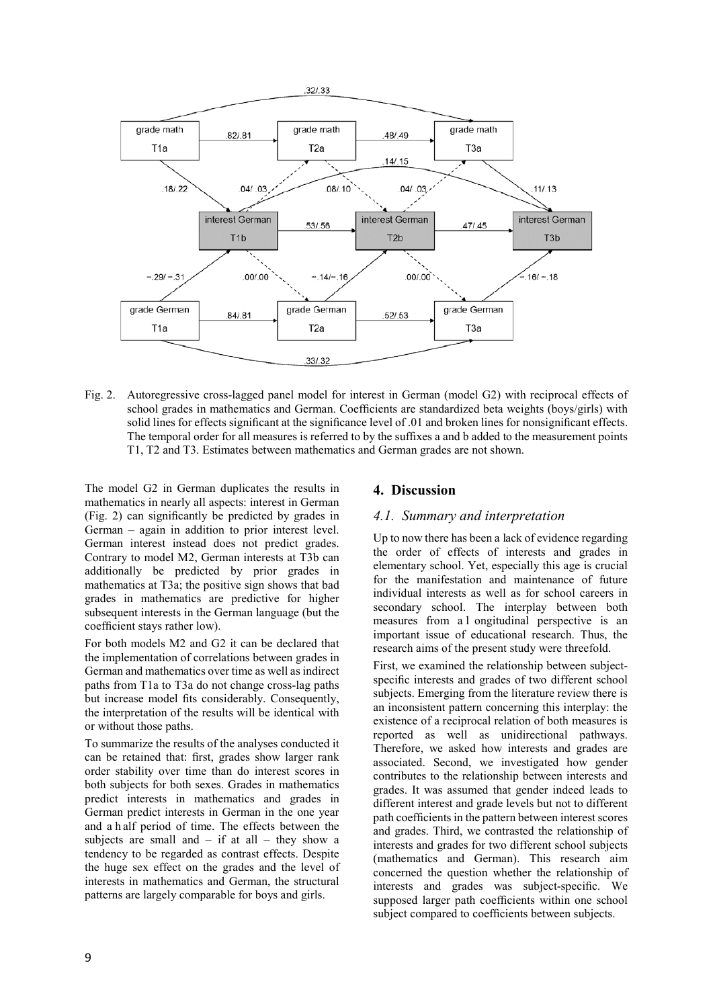

Fig. 2. Autoregressive cross-lagged panel model for interest in German (model G2) with reciprocal effects of school grades in mathematics and German. Coefficients are standardized beta weights (boys/girls) with solid lines for effects significant at the significance level of .01 and broken lines for nonsignificant effects. The temporal order for all measures is referred to by the suffixes a and b added to the measurement points T1, T2 and T3. Estimates between mathematics and German grades are not shown.

The model G2 in German duplicates the results in mathematics in nearly all aspects: interest in German (Fig. 2) can significantly be predicted by grades in German – again in addition to prior interest level. German interest instead does not predict grades. Contrary to model M2, German interests at T3b can additionally be predicted by prior grades in mathematics at T3a; the positive sign shows that bad grades in mathematics are predictive for higher subsequent interests in the German language (but the coefficient stays rather low).

For both models M2 and G2 it can be declared that the implementation of correlations between grades in German and mathematics over time as well as indirect paths from T1a to T3a do not change cross-lag paths but increase model fits considerably. Consequently, the interpretation of the results will be identical with or without those paths.

To summarize the results of the analyses conducted it can be retained that: first, grades show larger rank order stability over time than do interest scores in both subjects for both sexes. Grades in mathematics predict interests in mathematics and grades in German predict interests in German in the one year and a h alf period of time. The effects between the subjects are small and  $-$  if at all  $-$  they show a tendency to be regarded as contrast effects. Despite the huge sex effect on the grades and the level of interests in mathematics and German, the structural patterns are largely comparable for boys and girls.

## **4. Discussion**

#### *4.1. Summary and interpretation*

Up to now there has been a lack of evidence regarding the order of effects of interests and grades in elementary school. Yet, especially this age is crucial for the manifestation and maintenance of future individual interests as well as for school careers in secondary school. The interplay between both measures from a l ongitudinal perspective is an important issue of educational research. Thus, the research aims of the present study were threefold.

First, we examined the relationship between subjectspecific interests and grades of two different school subjects. Emerging from the literature review there is an inconsistent pattern concerning this interplay: the existence of a reciprocal relation of both measures is reported as well as unidirectional pathways. Therefore, we asked how interests and grades are associated. Second, we investigated how gender contributes to the relationship between interests and grades. It was assumed that gender indeed leads to different interest and grade levels but not to different path coefficients in the pattern between interest scores and grades. Third, we contrasted the relationship of interests and grades for two different school subjects (mathematics and German). This research aim concerned the question whether the relationship of interests and grades was subject-specific. We supposed larger path coefficients within one school subject compared to coefficients between subjects.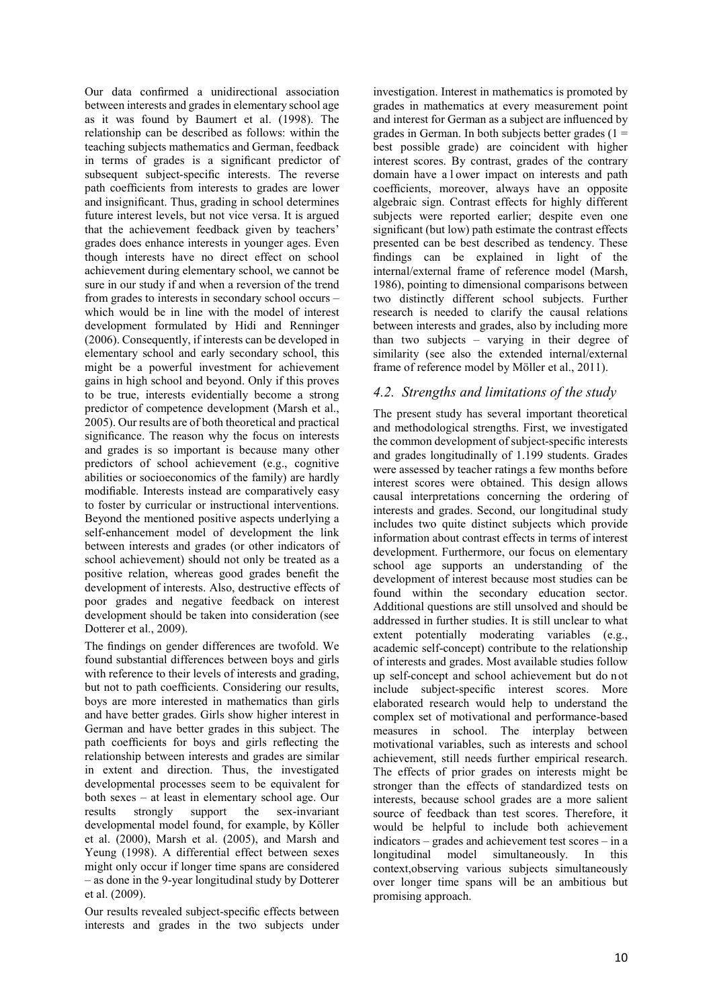Our data confirmed a unidirectional association between interests and grades in elementary school age as it was found by Baumert et al. (1998). The relationship can be described as follows: within the teaching subjects mathematics and German, feedback in terms of grades is a significant predictor of subsequent subject-specific interests. The reverse path coefficients from interests to grades are lower and insignificant. Thus, grading in school determines future interest levels, but not vice versa. It is argued that the achievement feedback given by teachers' grades does enhance interests in younger ages. Even though interests have no direct effect on school achievement during elementary school, we cannot be sure in our study if and when a reversion of the trend from grades to interests in secondary school occurs – which would be in line with the model of interest development formulated by Hidi and Renninger (2006). Consequently, if interests can be developed in elementary school and early secondary school, this might be a powerful investment for achievement gains in high school and beyond. Only if this proves to be true, interests evidentially become a strong predictor of competence development (Marsh et al., 2005). Our results are of both theoretical and practical significance. The reason why the focus on interests and grades is so important is because many other predictors of school achievement (e.g., cognitive abilities or socioeconomics of the family) are hardly modifiable. Interests instead are comparatively easy to foster by curricular or instructional interventions. Beyond the mentioned positive aspects underlying a self-enhancement model of development the link between interests and grades (or other indicators of school achievement) should not only be treated as a positive relation, whereas good grades benefit the development of interests. Also, destructive effects of poor grades and negative feedback on interest development should be taken into consideration (see Dotterer et al., 2009).

The findings on gender differences are twofold. We found substantial differences between boys and girls with reference to their levels of interests and grading, but not to path coefficients. Considering our results, boys are more interested in mathematics than girls and have better grades. Girls show higher interest in German and have better grades in this subject. The path coefficients for boys and girls reflecting the relationship between interests and grades are similar in extent and direction. Thus, the investigated developmental processes seem to be equivalent for both sexes – at least in elementary school age. Our results strongly support the sex-invariant developmental model found, for example, by Köller et al. (2000), Marsh et al. (2005), and Marsh and Yeung (1998). A differential effect between sexes might only occur if longer time spans are considered – as done in the 9-year longitudinal study by Dotterer et al. (2009).

Our results revealed subject-specific effects between interests and grades in the two subjects under investigation. Interest in mathematics is promoted by grades in mathematics at every measurement point and interest for German as a subject are influenced by grades in German. In both subjects better grades  $(1 =$ best possible grade) are coincident with higher interest scores. By contrast, grades of the contrary domain have a l ower impact on interests and path coefficients, moreover, always have an opposite algebraic sign. Contrast effects for highly different subjects were reported earlier; despite even one significant (but low) path estimate the contrast effects presented can be best described as tendency. These findings can be explained in light of the internal/external frame of reference model (Marsh, 1986), pointing to dimensional comparisons between two distinctly different school subjects. Further research is needed to clarify the causal relations between interests and grades, also by including more than two subjects – varying in their degree of similarity (see also the extended internal/external frame of reference model by Möller et al., 2011).

### *4.2. Strengths and limitations of the study*

The present study has several important theoretical and methodological strengths. First, we investigated the common development of subject-specific interests and grades longitudinally of 1.199 students. Grades were assessed by teacher ratings a few months before interest scores were obtained. This design allows causal interpretations concerning the ordering of interests and grades. Second, our longitudinal study includes two quite distinct subjects which provide information about contrast effects in terms of interest development. Furthermore, our focus on elementary school age supports an understanding of the development of interest because most studies can be found within the secondary education sector. Additional questions are still unsolved and should be addressed in further studies. It is still unclear to what extent potentially moderating variables (e.g., academic self-concept) contribute to the relationship of interests and grades. Most available studies follow up self-concept and school achievement but do not include subject-specific interest scores. More elaborated research would help to understand the complex set of motivational and performance-based measures in school. The interplay between motivational variables, such as interests and school achievement, still needs further empirical research. The effects of prior grades on interests might be stronger than the effects of standardized tests on interests, because school grades are a more salient source of feedback than test scores. Therefore, it would be helpful to include both achievement indicators – grades and achievement test scores – in a longitudinal model simultaneously. In this context,observing various subjects simultaneously over longer time spans will be an ambitious but promising approach.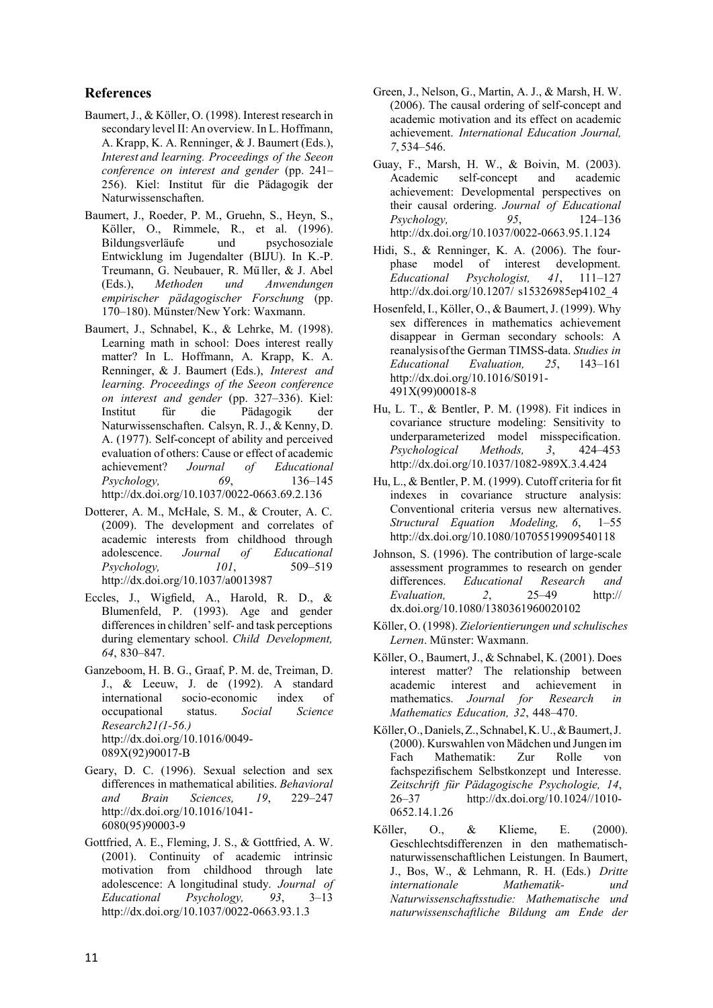### **References**

- Baumert, J., & Köller, O. (1998). Interest research in secondary level II: An overview. In L. Hoffmann, A. Krapp, K. A. Renninger, & J. Baumert (Eds.), *Interest and learning. Proceedings of the Seeon conference on interest and gender* (pp. 241– 256). Kiel: Institut für die Pädagogik der Naturwissenschaften.
- Baumert, J., Roeder, P. M., Gruehn, S., Heyn, S., Köller, O., Rimmele, R., et al. (1996). Bildungsverläufe und Entwicklung im Jugendalter (BIJU). In K.-P. Treumann, G. Neubauer, R. Müller, & J. Abel (Eds.), *Methoden und Anwendungen empirischer pädagogischer Forschung* (pp. 170–180). Münster/New York: Waxmann.
- Baumert, J., Schnabel, K., & Lehrke, M. (1998). Learning math in school: Does interest really matter? In L. Hoffmann, A. Krapp, K. A. Renninger, & J. Baumert (Eds.), *Interest and learning. Proceedings of the Seeon conference on interest and gender* (pp. 327–336). Kiel: Institut für die Pädagogik der Naturwissenschaften. Calsyn, R.J., & Kenny, D. A. (1977). Self-concept of ability and perceived evaluation of others: Cause or effect of academic achievement? *Journal of Educational Psychology, 69*, 136–145 http://dx.doi.org/10.1037/0022-0663.69.2.136
- Dotterer, A. M., McHale, S. M., & Crouter, A. C. (2009). The development and correlates of academic interests from childhood through adolescence. *Journal of Educational Psychology, 101*, 509–519 <http://dx.doi.org/10.1037/a0013987>
- Eccles, J., Wigfield, A., Harold, R. D., & Blumenfeld, P. (1993). Age and gender differences in children' self- and task perceptions during elementary school. *Child Development, 64*, 830–847.
- Ganzeboom, H. B. G., Graaf, P. M. de, Treiman, D. J., & Leeuw, J. de (1992). A standard international socio-economic index of occupational status. *Social Science Research21(1-56.)* http://dx.doi.org/10.1016/0049- 089X(92)90017-B
- Geary, D. C. (1996). Sexual selection and sex differences in mathematical abilities. *Behavioral and Brain Sciences, 19*, 229–247 <http://dx.doi.org/10.1016/1041-> 6080(95)90003-9
- Gottfried, A. E., Fleming, J. S., & Gottfried, A. W. (2001). Continuity of academic intrinsic motivation from childhood through late adolescence: A longitudinal study. *Journal of Educational Psychology, 93*, 3–13 <http://dx.doi.org/10.1037/0022-0663.93.1.3>
- Green, J., Nelson, G., Martin, A. J., & Marsh, H. W. (2006). The causal ordering of self-concept and academic motivation and its effect on academic achievement. *International Education Journal, 7*, 534–546.
- Guay, F., Marsh, H. W., & Boivin, M. (2003). Academic self-concept and academic achievement: Developmental perspectives on their causal ordering. *Journal of Educational Psychology, 95*, 124–136 <http://dx.doi.org/10.1037/0022-0663.95.1.124>
- Hidi, S., & Renninger, K. A. (2006). The fourphase model of interest development. *Educational Psychologist, 41*, 111–127 <http://dx.doi.org/10.1207/> s15326985ep4102\_4
- Hosenfeld, I., Köller, O., & Baumert, J. (1999). Why sex differences in mathematics achievement disappear in German secondary schools: A reanalysisofthe German TIMSS-data. *Studies in Educational Evaluation, 25*, 143–161 [http://dx.doi.org/10.1016/S0191-](http://dx.doi.org/10.1016/S0191-491X(99)00018-8) [491X\(99\)00018-8](http://dx.doi.org/10.1016/S0191-491X(99)00018-8)
- Hu, L. T., & Bentler, P. M. (1998). Fit indices in covariance structure modeling: Sensitivity to underparameterized model misspecification. *Psychological Methods, 3*, 424–453 <http://dx.doi.org/10.1037/1082-989X.3.4.424>
- Hu, L., & Bentler, P. M. (1999). Cutoff criteria for fit indexes in covariance structure analysis: Conventional criteria versus new alternatives. *Structural Equation Modeling, 6*, 1–55 <http://dx.doi.org/10.1080/10705519909540118>
- Johnson, S. (1996). The contribution of large-scale assessment programmes to research on gender differences. *Educational Research and Evaluation, 2*, 25–49 http:// dx.doi.org/10.1080/1380361960020102
- Köller, O. (1998). *Zielorientierungen und schulisches* Lernen. Münster: Waxmann.
- Köller, O., Baumert, J., & Schnabel, K. (2001). Does interest matter? The relationship between academic interest and achievement in mathematics. *Journal for Research in Mathematics Education, 32*, 448–470.
- Köller, O.,Daniels,Z.,Schnabel,K.U., & Baumert,J. (2000). Kurswahlen von Mädchen und Jungen im Fach Mathematik: Zur Rolle von fachspezifischem Selbstkonzept und Interesse. *Zeitschrift für Pädagogische Psychologie, 14*, 26–37 [http://dx.doi.org/10.1024//1010-](http://dx.doi.org/10.1024/1010-0652.14.1.26) [0652.14.1.26](http://dx.doi.org/10.1024/1010-0652.14.1.26)
- Köller, O., & Klieme, E. (2000). Geschlechtsdifferenzen in den mathematischnaturwissenschaftlichen Leistungen. In Baumert, J., Bos, W., & Lehmann, R. H. (Eds.) *Dritte internationale Mathematik- und Naturwissenschaftsstudie: Mathematische und naturwissenschaftliche Bildung am Ende der*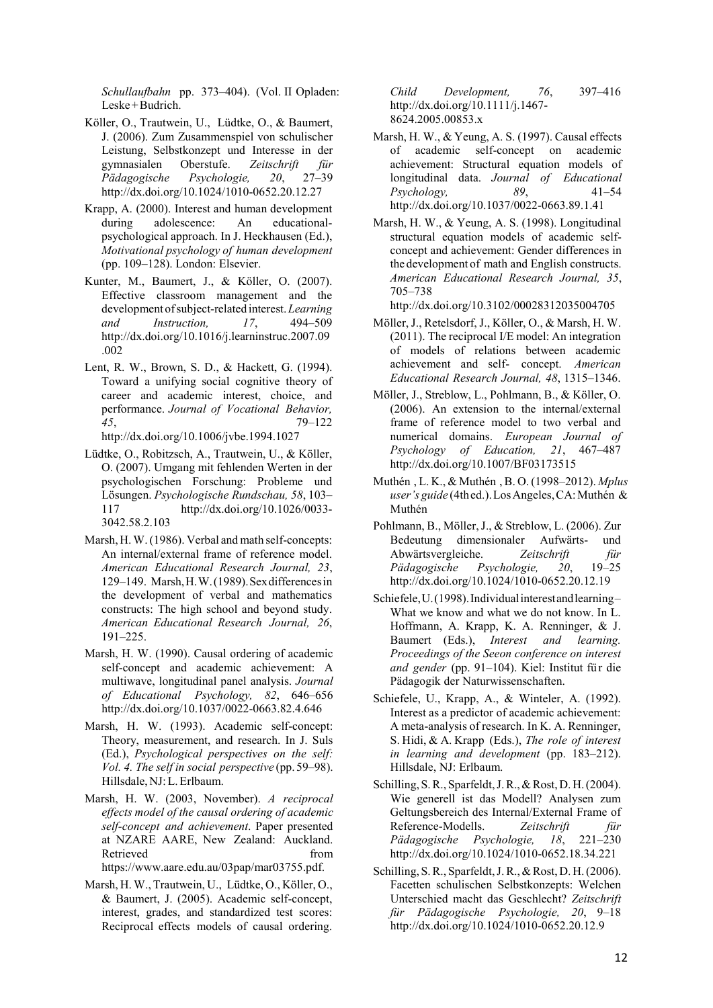*Schullaufbahn* pp. 373–404). (Vol. II Opladen: Leske + Budrich.

- Köller, O., Trautwein, U., Lüdtke, O., & Baumert, J. (2006). Zum Zusammenspiel von schulischer Leistung, Selbstkonzept und Interesse in der gymnasialen Oberstufe. *Zeitschrift für Pädagogische Psychologie, 20*, 27–39 <http://dx.doi.org/10.1024/1010-0652.20.12.27>
- Krapp, A. (2000). Interest and human development during adolescence: An educationalpsychological approach. In J. Heckhausen (Ed.), *Motivational psychology of human development* (pp. 109–128). London: Elsevier.
- Kunter, M., Baumert, J., & Köller, O. (2007). Effective classroom management and the development ofsubject-related interest.*Learning and Instruction, 17*, 494–509 [http://dx.doi.org/10.1016/j.learninstruc.2007.09](http://dx.doi.org/10.1016/j.learninstruc.2007.09.002) [.002](http://dx.doi.org/10.1016/j.learninstruc.2007.09.002)
- Lent, R. W., Brown, S. D., & Hackett, G. (1994). Toward a unifying social cognitive theory of career and academic interest, choice, and performance. *Journal of Vocational Behavior, 45*, 79–122

<http://dx.doi.org/10.1006/jvbe.1994.1027>

- Lüdtke, O., Robitzsch, A., Trautwein, U., & Köller, O. (2007). Umgang mit fehlenden Werten in der psychologischen Forschung: Probleme und Lösungen. *Psychologische Rundschau, 58*, 103– 117 [http://dx.doi.org/10.1026/0033-](http://dx.doi.org/10.1026/0033-3042.58.2.103) [3042.58.2.103](http://dx.doi.org/10.1026/0033-3042.58.2.103)
- Marsh, H. W.(1986). Verbal and math self-concepts: An internal/external frame of reference model. *American Educational Research Journal, 23*, 129–149. Marsh,H.W.(1989).Sexdifferencesin the development of verbal and mathematics constructs: The high school and beyond study. *American Educational Research Journal, 26*, 191–225.
- Marsh, H. W. (1990). Causal ordering of academic self-concept and academic achievement: A multiwave, longitudinal panel analysis. *Journal of Educational Psychology, 82*, 646–656 <http://dx.doi.org/10.1037/0022-0663.82.4.646>
- Marsh, H. W. (1993). Academic self-concept: Theory, measurement, and research. In J. Suls (Ed.), *Psychological perspectives on the self: Vol. 4. The self in social perspective* (pp.59–98). Hillsdale,NJ:L.Erlbaum.
- Marsh, H. W. (2003, November). *A reciprocal effects model of the causal ordering of academic self-concept and achievement*. Paper presented at NZARE AARE, New Zealand: Auckland. Retrieved from from

[https://www.aare.edu.au/03pap/mar03755.pdf.](http://www.aare.edu.au/03pap/mar03755.pdf)

Marsh, H. W., Trautwein, U., Lüdtke, O., Köller, O., & Baumert, J. (2005). Academic self-concept, interest, grades, and standardized test scores: Reciprocal effects models of causal ordering.

*Child Development, 76*, 397–416 [http://dx.doi.org/10.1111/j.1467-](http://dx.doi.org/10.1111/j.1467-8624.2005.00853.x) [8624.2005.00853.x](http://dx.doi.org/10.1111/j.1467-8624.2005.00853.x)

- Marsh, H. W., & Yeung, A. S. (1997). Causal effects of academic self-concept on academic achievement: Structural equation models of longitudinal data. *Journal of Educational Psychology, 89*, 41–54 <http://dx.doi.org/10.1037/0022-0663.89.1.41>
- Marsh, H. W., & Yeung, A. S. (1998). Longitudinal structural equation models of academic selfconcept and achievement: Gender differences in the development of math and English constructs. *American Educational Research Journal, 35*, 705–738

<http://dx.doi.org/10.3102/00028312035004705>

- Möller, J., Retelsdorf, J., Köller, O., & Marsh, H. W. (2011). The reciprocal I/E model: An integration of models of relations between academic achievement and self- concept. *American Educational Research Journal, 48*, 1315–1346.
- Möller, J., Streblow, L., Pohlmann, B., & Köller, O. (2006). An extension to the internal/external frame of reference model to two verbal and numerical domains. *European Journal of Psychology of Education, 21*, 467–487 <http://dx.doi.org/10.1007/BF03173515>
- Muthén , L. K., & Muthén , B. O. (1998–2012). *Mplus user's guide* (4thed.).LosAngeles,CA:Muthén & Muthén
- Pohlmann, B., Möller, J., & Streblow, L. (2006). Zur Bedeutung dimensionaler Aufwärts- und Abwärtsvergleiche. *Zeitschrift für Pädagogische Psychologie, 20*, 19–25 <http://dx.doi.org/10.1024/1010-0652.20.12.19>
- Schiefele, U. (1998). Individual interest and learning What we know and what we do not know. In L. Hoffmann, A. Krapp, K. A. Renninger, & J. Baumert (Eds.), *Interest and learning. Proceedings of the Seeon conference on interest and gender* (pp. 91–104). Kiel: Institut für die Pädagogik der Naturwissenschaften.
- Schiefele, U., Krapp, A., & Winteler, A. (1992). Interest as a predictor of academic achievement: A meta-analysis of research. In K. A. Renninger, S. Hidi, & A. Krapp (Eds.), *The role of interest in learning and development* (pp. 183–212). Hillsdale, NJ: Erlbaum.
- Schilling, S.R., Sparfeldt,J.R., & Rost, D. H.(2004). Wie generell ist das Modell? Analysen zum Geltungsbereich des Internal/External Frame of Reference-Modells. *Zeitschrift für Pädagogische Psychologie, 18*, 221–230 <http://dx.doi.org/10.1024/1010-0652.18.34.221>
- Schilling, S.R., Sparfeldt,J.R., & Rost, D. H.(2006). Facetten schulischen Selbstkonzepts: Welchen Unterschied macht das Geschlecht? *Zeitschrift für Pädagogische Psychologie, 20*, 9–18 <http://dx.doi.org/10.1024/1010-0652.20.12.9>